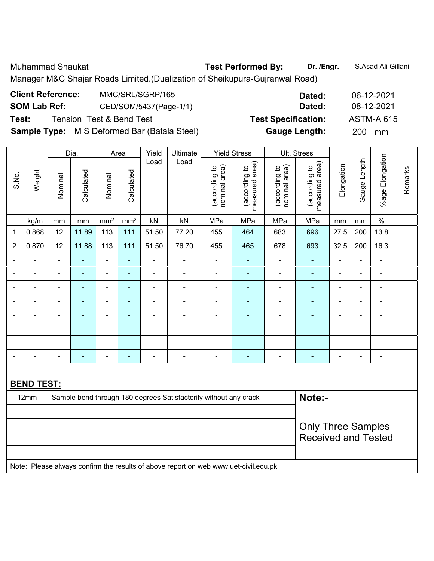Muhammad Shaukat **Test Performed By: Dr. /Engr.** S.Asad Ali Gillani

Manager M&C Shajar Roads Limited.(Dualization of Sheikupura-Gujranwal Road)

| <b>Client Reference:</b> | MMC/SRL/SGRP/165                                    | Dated:                     | 06-12-2021        |
|--------------------------|-----------------------------------------------------|----------------------------|-------------------|
| <b>SOM Lab Ref:</b>      | CED/SOM/5437(Page-1/1)                              | Dated:                     | 08-12-2021        |
| Test:                    | <b>Tension Test &amp; Bend Test</b>                 | <b>Test Specification:</b> | <b>ASTM-A 615</b> |
|                          | <b>Sample Type:</b> M S Deformed Bar (Batala Steel) | <b>Gauge Length:</b>       | 200 mm            |

|                |                   |                | Dia.                                                                       |                              | Area                     | Yield                                           | Ultimate                 |                                | <b>Yield Stress</b>             |                                | Ult. Stress                     |                          |                |                          |         |
|----------------|-------------------|----------------|----------------------------------------------------------------------------|------------------------------|--------------------------|-------------------------------------------------|--------------------------|--------------------------------|---------------------------------|--------------------------------|---------------------------------|--------------------------|----------------|--------------------------|---------|
| S.No.          | Weight            | Nominal        | Calculated                                                                 | Nominal                      | Calculated               | Load                                            | Load                     | (according to<br>nominal area) | measured area)<br>(according to | nominal area)<br>(according to | measured area)<br>(according to | Elongation               | Gauge Length   | %age Elongation          | Remarks |
|                | kg/m              | mm             | mm                                                                         | mm <sup>2</sup>              | mm <sup>2</sup>          | kN                                              | kN                       | MPa                            | MPa                             | MPa                            | MPa                             | mm                       | mm             | $\%$                     |         |
| 1              | 0.868             | 12             | 11.89                                                                      | 113                          | 111                      | 51.50                                           | 77.20                    | 455                            | 464                             | 683                            | 696                             | 27.5                     | 200            | 13.8                     |         |
| $\sqrt{2}$     | 0.870             | 12             | 11.88                                                                      | 113                          | 111                      | 51.50                                           | 76.70                    | 455                            | 465                             | 678                            | 693                             | 32.5                     | 200            | 16.3                     |         |
| $\blacksquare$ | $\blacksquare$    | $\blacksquare$ | $\blacksquare$                                                             | ۰                            | $\blacksquare$           | $\blacksquare$                                  | $\blacksquare$           | $\blacksquare$                 | ۰                               | ۰                              | $\blacksquare$                  | $\blacksquare$           | $\blacksquare$ | $\blacksquare$           |         |
| $\blacksquare$ | $\blacksquare$    | $\blacksquare$ | $\blacksquare$                                                             | $\overline{\phantom{a}}$     | $\blacksquare$           | $\blacksquare$                                  | $\overline{\phantom{a}}$ | $\overline{\phantom{a}}$       | $\blacksquare$                  | $\blacksquare$                 | ÷,                              | $\overline{\phantom{a}}$ | $\blacksquare$ | $\blacksquare$           |         |
| $\blacksquare$ | ä,                | $\blacksquare$ | $\blacksquare$                                                             | $\qquad \qquad \blacksquare$ | $\blacksquare$           | $\blacksquare$                                  | $\overline{\phantom{a}}$ | $\blacksquare$                 | ۰                               | $\blacksquare$                 | $\blacksquare$                  | $\blacksquare$           | ä,             | $\blacksquare$           |         |
|                |                   | $\blacksquare$ | $\blacksquare$                                                             | $\blacksquare$               |                          | $\blacksquare$<br>$\blacksquare$<br>۰<br>۰<br>۰ |                          |                                |                                 |                                |                                 |                          |                | $\blacksquare$           |         |
| ۰              | ۰                 | $\blacksquare$ | $\blacksquare$                                                             | $\overline{\phantom{a}}$     | $\blacksquare$           | $\blacksquare$                                  | $\overline{\phantom{a}}$ | $\blacksquare$                 | ٠                               | ۰                              | $\blacksquare$                  | $\blacksquare$           | $\overline{a}$ | $\overline{\phantom{a}}$ |         |
| ۰              | ۰                 | $\blacksquare$ | ٠                                                                          | $\qquad \qquad \blacksquare$ | $\blacksquare$           | $\overline{\phantom{0}}$                        | -                        | $\blacksquare$                 | $\overline{\phantom{0}}$        | ۰                              | ۰                               | Ē,                       | ÷              | $\blacksquare$           |         |
|                |                   |                | $\blacksquare$                                                             | $\blacksquare$               |                          | $\blacksquare$                                  | ÷                        | $\blacksquare$                 | ۰                               | ۰                              | $\blacksquare$                  | Ē,                       | L.             | $\blacksquare$           |         |
| ۰              | $\blacksquare$    | $\blacksquare$ | ۰                                                                          | $\overline{\phantom{a}}$     | $\overline{\phantom{a}}$ | $\overline{a}$                                  | -                        | $\overline{\phantom{0}}$       | ۰                               | -                              | ٠                               | $\overline{a}$           | $\overline{a}$ | $\blacksquare$           |         |
|                |                   |                |                                                                            |                              |                          |                                                 |                          |                                |                                 |                                |                                 |                          |                |                          |         |
|                | <b>BEND TEST:</b> |                |                                                                            |                              |                          |                                                 |                          |                                |                                 |                                |                                 |                          |                |                          |         |
|                | 12mm              |                | Note:-<br>Sample bend through 180 degrees Satisfactorily without any crack |                              |                          |                                                 |                          |                                |                                 |                                |                                 |                          |                |                          |         |
|                |                   |                |                                                                            |                              |                          |                                                 |                          |                                |                                 |                                |                                 |                          |                |                          |         |
|                |                   |                |                                                                            |                              |                          |                                                 |                          |                                |                                 |                                | <b>Only Three Samples</b>       |                          |                |                          |         |
|                |                   |                |                                                                            |                              |                          |                                                 |                          |                                |                                 |                                | <b>Received and Tested</b>      |                          |                |                          |         |
|                |                   |                |                                                                            |                              |                          |                                                 |                          |                                |                                 |                                |                                 |                          |                |                          |         |

Note: Please always confirm the results of above report on web www.uet-civil.edu.pk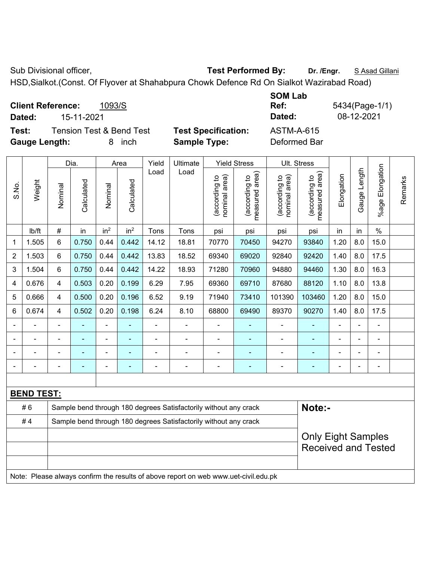Sub Divisional officer, **Test Performed By:** Dr. /Engr. **SAsad Gillani** Sub Divisional officer,

HSD,Sialkot.(Const. Of Flyover at Shahabpura Chowk Defence Rd On Sialkot Wazirabad Road)

|           |                                    |           | <b>998 EUM</b> |              |
|-----------|------------------------------------|-----------|----------------|--------------|
|           | 1093/S<br><b>Client Reference:</b> |           | Ref.           | 5434(Page-1/ |
| Dated:    | 15-11-2021                         |           | Dated:         | 08-12-2021   |
| T - - 4 - | T T 1 . 0. D T 1.                  | $T = 100$ |                |              |

**Test:** Tension Test & Bend Test **Test Specification:** ASTM-A-615 **Gauge Length:** 8 inch **Sample Type:** Deformed Bar

**SOM Lab Ref:** 5434(Page-1/1)

|                |                   |                |            |                              |                 |                                                                  | Ult. Stress                                                                         |                                |                                             |                                |                                             |                |              |                          |         |
|----------------|-------------------|----------------|------------|------------------------------|-----------------|------------------------------------------------------------------|-------------------------------------------------------------------------------------|--------------------------------|---------------------------------------------|--------------------------------|---------------------------------------------|----------------|--------------|--------------------------|---------|
|                |                   |                | Dia.       |                              | Area            | Yield<br>Load                                                    | Ultimate<br>Load                                                                    |                                | <b>Yield Stress</b>                         |                                |                                             |                |              |                          |         |
| S.No.          | Weight            | Nominal        | Calculated | Nominal                      | Calculated      |                                                                  |                                                                                     | nominal area)<br>(according to | (according to<br>measured area)<br>measured | nominal area)<br>(according to | (according to<br>measured area)<br>measured | Elongation     | Gauge Length | Elongation<br>$%$ age    | Remarks |
|                | Ib/ft             | $\#$           | in         | in <sup>2</sup>              | in <sup>2</sup> | Tons                                                             | Tons                                                                                | psi                            | psi                                         | psi                            | psi                                         | in             | in           | $\%$                     |         |
| $\mathbf{1}$   | 1.505             | $6\phantom{1}$ | 0.750      | 0.44                         | 0.442           | 14.12                                                            | 18.81                                                                               | 70770                          | 70450                                       | 94270                          | 93840                                       | 1.20           | 8.0          | 15.0                     |         |
| $\overline{2}$ | 1.503             | $6\phantom{1}$ | 0.750      | 0.44                         | 0.442           | 13.83                                                            | 18.52                                                                               | 69340                          | 69020                                       | 92840                          | 92420                                       | 1.40           | 8.0          | 17.5                     |         |
| 3              | 1.504             | 6              | 0.750      | 0.44                         | 0.442           | 14.22                                                            | 18.93                                                                               | 71280                          | 70960                                       | 94880                          | 94460                                       | 1.30           | 8.0          | 16.3                     |         |
| 4              | 0.676             | $\overline{4}$ | 0.503      | 0.20                         | 0.199           | 6.29                                                             | 7.95                                                                                | 69360                          | 69710                                       | 87680                          | 88120                                       | 1.10           | 8.0          | 13.8                     |         |
| 5              | 0.666             | $\overline{4}$ | 0.500      | 0.20                         | 0.196           | 6.52                                                             | 9.19                                                                                | 71940                          | 73410                                       | 101390                         | 103460                                      | 1.20           | 8.0          | 15.0                     |         |
| 6              | 0.674             | $\overline{4}$ | 0.502      | 0.20                         | 0.198           | 6.24                                                             | 8.10                                                                                | 68800                          | 69490                                       | 89370                          | 90270                                       | 1.40           | 8.0          | 17.5                     |         |
|                |                   |                |            |                              |                 |                                                                  | $\blacksquare$                                                                      |                                |                                             |                                |                                             |                |              | ÷                        |         |
| ÷              |                   | $\blacksquare$ | ä,         | ۰                            | ÷               | $\blacksquare$                                                   | $\qquad \qquad \blacksquare$                                                        | $\blacksquare$                 | $\blacksquare$                              | ÷                              | $\blacksquare$                              | $\blacksquare$ |              | $\overline{\phantom{a}}$ |         |
| ۰              |                   | $\blacksquare$ | ä,         | $\qquad \qquad \blacksquare$ |                 | $\blacksquare$                                                   | $\blacksquare$                                                                      | $\blacksquare$                 | ٠                                           | $\blacksquare$                 | $\blacksquare$                              | $\blacksquare$ |              | ä,                       |         |
|                |                   | $\blacksquare$ | ä,         | $\blacksquare$               | $\overline{a}$  | $\blacksquare$                                                   | $\overline{a}$                                                                      | $\blacksquare$                 | ÷                                           | ÷                              | $\blacksquare$                              | $\blacksquare$ |              | ä,                       |         |
|                |                   |                |            |                              |                 |                                                                  |                                                                                     |                                |                                             |                                |                                             |                |              |                          |         |
|                | <b>BEND TEST:</b> |                |            |                              |                 |                                                                  |                                                                                     |                                |                                             |                                |                                             |                |              |                          |         |
|                | #6                |                |            |                              |                 |                                                                  | Sample bend through 180 degrees Satisfactorily without any crack                    |                                |                                             |                                | Note:-                                      |                |              |                          |         |
|                | #4                |                |            |                              |                 | Sample bend through 180 degrees Satisfactorily without any crack |                                                                                     |                                |                                             |                                |                                             |                |              |                          |         |
|                |                   |                |            |                              |                 |                                                                  |                                                                                     |                                |                                             |                                | <b>Only Eight Samples</b>                   |                |              |                          |         |
|                |                   |                |            |                              |                 |                                                                  |                                                                                     |                                |                                             |                                | <b>Received and Tested</b>                  |                |              |                          |         |
|                |                   |                |            |                              |                 |                                                                  |                                                                                     |                                |                                             |                                |                                             |                |              |                          |         |
|                |                   |                |            |                              |                 |                                                                  | Note: Please always confirm the results of above report on web www.uet-civil.edu.pk |                                |                                             |                                |                                             |                |              |                          |         |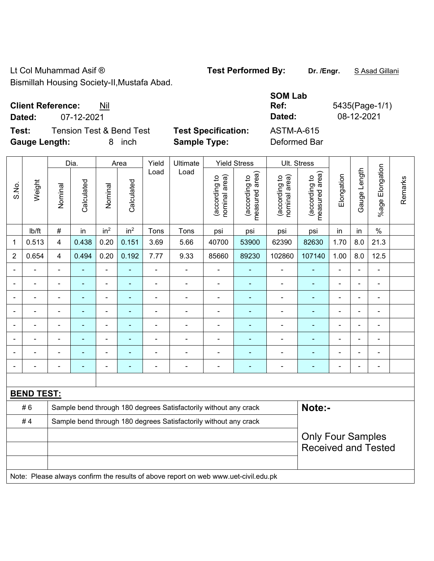Lt Col Muhammad Asif ® **Test Performed By:** Dr. /Engr. **SAsad Gillani** Bismillah Housing Society-II,Mustafa Abad.

**Client Reference:** Nil

**Test:** Tension Test & Bend Test **Test Specification:** ASTM-A-615 **Gauge Length:** 8 inch **Sample Type:** Deformed Bar

|                          | Dia.<br>Area      |                                                                  |                          | Yield                    | Ultimate                 |                | <b>Yield Stress</b>                                                                 |                                | Ult. Stress                     |                                |                                 |                          |                |                       |         |
|--------------------------|-------------------|------------------------------------------------------------------|--------------------------|--------------------------|--------------------------|----------------|-------------------------------------------------------------------------------------|--------------------------------|---------------------------------|--------------------------------|---------------------------------|--------------------------|----------------|-----------------------|---------|
| S.No.                    | Weight            | Nominal                                                          | Calculated               | Nominal                  | Calculated               | Load           | Load                                                                                | nominal area)<br>(according to | (according to<br>measured area) | nominal area)<br>(according to | (according to<br>measured area) | Elongation               | Gauge Length   | Elongation<br>$%$ age | Remarks |
|                          | Ib/ft             | $\#$                                                             | in                       | in <sup>2</sup>          | in <sup>2</sup>          | Tons           | Tons                                                                                | psi                            | psi                             | psi                            | psi                             | in                       | in             | $\%$                  |         |
| 1                        | 0.513             | 4                                                                | 0.438                    | 0.20                     | 0.151                    | 3.69           | 5.66                                                                                | 40700                          | 53900                           | 62390                          | 82630                           | 1.70                     | 8.0            | 21.3                  |         |
| $\overline{2}$           | 0.654             | $\overline{4}$                                                   | 0.494                    | 0.20                     | 0.192                    | 7.77           | 9.33                                                                                | 85660                          | 89230                           | 102860                         | 107140                          | 1.00                     | 8.0            | 12.5                  |         |
|                          |                   |                                                                  |                          | $\blacksquare$           |                          | $\blacksquare$ | $\blacksquare$                                                                      |                                |                                 |                                |                                 |                          |                | $\blacksquare$        |         |
|                          |                   |                                                                  | $\blacksquare$           | ä,                       |                          | $\blacksquare$ | ä,                                                                                  | $\blacksquare$                 | $\blacksquare$                  | $\overline{\phantom{a}}$       | $\overline{\phantom{a}}$        | $\blacksquare$           | $\blacksquare$ | $\blacksquare$        |         |
| $\blacksquare$           |                   | $\blacksquare$                                                   | $\blacksquare$           | $\overline{\phantom{a}}$ | $\overline{\phantom{a}}$ | $\blacksquare$ | $\blacksquare$                                                                      | $\blacksquare$                 | ۰                               | $\blacksquare$                 | ÷                               | $\blacksquare$           | $\blacksquare$ | $\blacksquare$        |         |
|                          |                   | $\blacksquare$                                                   | $\blacksquare$           | $\overline{\phantom{a}}$ |                          | $\blacksquare$ | $\blacksquare$                                                                      | $\blacksquare$                 | ۰                               | $\overline{\phantom{0}}$       | $\blacksquare$                  | $\blacksquare$           |                | $\blacksquare$        |         |
|                          |                   | $\blacksquare$                                                   | ä,                       | $\blacksquare$           | $\blacksquare$           | $\blacksquare$ | ä,                                                                                  | $\blacksquare$                 | ۰                               | ä,                             | $\blacksquare$                  | $\blacksquare$           |                | $\blacksquare$        |         |
|                          |                   | $\blacksquare$                                                   |                          | ä,                       |                          | ä,             | ä,                                                                                  | ä,                             |                                 | ä,                             |                                 |                          |                | $\blacksquare$        |         |
|                          |                   |                                                                  |                          | $\blacksquare$           |                          |                | $\blacksquare$                                                                      | $\overline{\phantom{0}}$       |                                 |                                |                                 |                          |                | $\blacksquare$        |         |
| $\overline{\phantom{0}}$ |                   | $\blacksquare$                                                   |                          | ٠                        | $\blacksquare$           | $\blacksquare$ | $\blacksquare$                                                                      | $\blacksquare$                 | ۰                               | $\blacksquare$                 | ÷                               | $\overline{\phantom{0}}$ | $\blacksquare$ | $\blacksquare$        |         |
|                          |                   |                                                                  |                          |                          |                          |                |                                                                                     |                                |                                 |                                |                                 |                          |                |                       |         |
|                          | <b>BEND TEST:</b> |                                                                  |                          |                          |                          |                |                                                                                     |                                |                                 |                                |                                 |                          |                |                       |         |
|                          | #6                |                                                                  |                          |                          |                          |                | Sample bend through 180 degrees Satisfactorily without any crack                    |                                |                                 |                                | Note:-                          |                          |                |                       |         |
|                          | #4                | Sample bend through 180 degrees Satisfactorily without any crack |                          |                          |                          |                |                                                                                     |                                |                                 |                                |                                 |                          |                |                       |         |
|                          |                   |                                                                  | <b>Only Four Samples</b> |                          |                          |                |                                                                                     |                                |                                 |                                |                                 |                          |                |                       |         |
|                          |                   |                                                                  |                          |                          |                          |                |                                                                                     |                                |                                 |                                | <b>Received and Tested</b>      |                          |                |                       |         |
|                          |                   |                                                                  |                          |                          |                          |                |                                                                                     |                                |                                 |                                |                                 |                          |                |                       |         |
|                          |                   |                                                                  |                          |                          |                          |                | Note: Please always confirm the results of above report on web www.uet-civil.edu.pk |                                |                                 |                                |                                 |                          |                |                       |         |

**SOM Lab Ref:** 5435(Page-1/1) **Dated:** 07-12-2021 **Dated:** 08-12-2021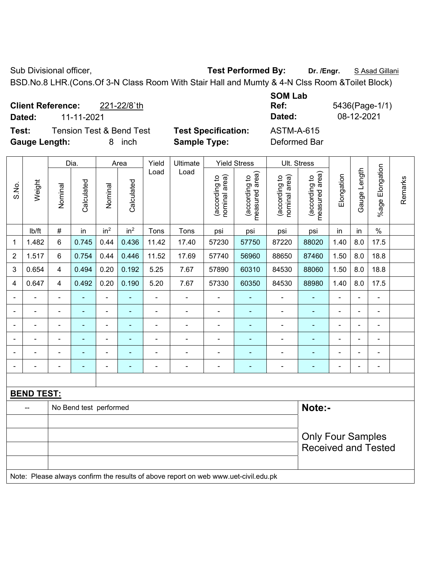Sub Divisional officer, **Test Performed By:** Dr. /Engr. **SAsad Gillani** Cub Burger, Bassad Gillani

BSD.No.8 LHR.(Cons.Of 3-N Class Room With Stair Hall and Mumty & 4-N Clss Room &Toilet Block)

**Client Reference:** 221-22/8`th **Dated:** 11-11-2021 **Dated:** 08-12-2021 **Test:** Tension Test & Bend Test **Test Specification:** ASTM-A-615

**Gauge Length:** 8 inch **Sample Type:** Deformed Bar

**SOM Lab Ref:** 5436(Page-1/1)

|                |                   | Dia.           |                        | Area            | Yield           | Ultimate       |                                                                                     | <b>Yield Stress</b>            |                                 | Ult. Stress                    |                                 |                |                |                              |         |
|----------------|-------------------|----------------|------------------------|-----------------|-----------------|----------------|-------------------------------------------------------------------------------------|--------------------------------|---------------------------------|--------------------------------|---------------------------------|----------------|----------------|------------------------------|---------|
| S.No.          | Weight            | Nominal        | Calculated             | Nominal         | Calculated      | Load           | Load                                                                                | (according to<br>nominal area) | measured area)<br>(according to | nominal area)<br>(according to | (according to<br>measured area) | Elongation     | Gauge Length   | Elongation<br>%age           | Remarks |
|                | lb/ft             | $\#$           | in                     | in <sup>2</sup> | in <sup>2</sup> | Tons           | Tons                                                                                | psi                            | psi                             | psi                            | psi                             | in             | in             | $\%$                         |         |
| 1              | 1.482             | 6              | 0.745                  | 0.44            | 0.436           | 11.42          | 17.40                                                                               | 57230                          | 57750                           | 87220                          | 88020                           | 1.40           | 8.0            | 17.5                         |         |
| $\overline{2}$ | 1.517             | 6              | 0.754                  | 0.44            | 0.446           | 11.52          | 17.69                                                                               | 57740                          | 56960                           | 88650                          | 87460                           | 1.50           | 8.0            | 18.8                         |         |
| 3              | 0.654             | 4              | 0.494                  | 0.20            | 0.192           | 5.25           | 7.67                                                                                | 57890                          | 60310                           | 84530                          | 88060                           | 1.50           | 8.0            | 18.8                         |         |
| 4              | 0.647             | 4              | 0.492                  | 0.20            | 0.190           | 5.20           | 7.67                                                                                | 57330                          | 60350                           | 84530                          | 88980                           | 1.40           | 8.0            | 17.5                         |         |
|                | $\blacksquare$    | $\blacksquare$ | ä,                     | $\blacksquare$  | ÷               | L.             | L.                                                                                  | $\blacksquare$                 | ÷                               |                                | $\frac{1}{2}$                   | $\overline{a}$ | $\blacksquare$ | $\blacksquare$               |         |
|                | $\blacksquare$    | $\blacksquare$ | $\blacksquare$         | $\blacksquare$  | ÷,              | $\blacksquare$ | $\blacksquare$                                                                      | $\blacksquare$                 | $\blacksquare$                  | $\blacksquare$                 | ÷,                              | $\blacksquare$ | $\blacksquare$ | $\overline{\phantom{a}}$     |         |
|                |                   | $\blacksquare$ | $\blacksquare$         | $\blacksquare$  | $\blacksquare$  | $\blacksquare$ | $\blacksquare$                                                                      |                                |                                 |                                |                                 |                |                |                              |         |
|                | $\blacksquare$    | $\blacksquare$ | $\blacksquare$         | $\blacksquare$  | ä,              | $\blacksquare$ | $\blacksquare$                                                                      | ä,                             | L,                              | $\blacksquare$                 | $\blacksquare$                  | ä,             | $\blacksquare$ | ÷,                           |         |
|                | $\blacksquare$    | $\blacksquare$ | $\blacksquare$         | $\blacksquare$  | ÷,              | $\blacksquare$ | $\blacksquare$                                                                      | $\overline{\phantom{a}}$       | $\blacksquare$                  | ۰                              | $\blacksquare$                  | ä,             |                | $\qquad \qquad \blacksquare$ |         |
|                |                   | $\blacksquare$ | $\blacksquare$         | $\blacksquare$  | L,              | $\blacksquare$ | $\blacksquare$                                                                      | ÷,                             | L,                              | ÷,                             | $\blacksquare$                  | ä,             |                | $\blacksquare$               |         |
|                |                   |                |                        |                 |                 |                |                                                                                     |                                |                                 |                                |                                 |                |                |                              |         |
|                | <b>BEND TEST:</b> |                |                        |                 |                 |                |                                                                                     |                                |                                 |                                |                                 |                |                |                              |         |
|                |                   |                | No Bend test performed |                 |                 |                |                                                                                     |                                |                                 |                                | Note:-                          |                |                |                              |         |
|                |                   |                |                        |                 |                 |                |                                                                                     |                                |                                 |                                |                                 |                |                |                              |         |
|                |                   |                |                        |                 |                 |                |                                                                                     |                                |                                 |                                | <b>Only Four Samples</b>        |                |                |                              |         |
|                |                   |                |                        |                 |                 |                |                                                                                     |                                |                                 |                                | <b>Received and Tested</b>      |                |                |                              |         |
|                |                   |                |                        |                 |                 |                |                                                                                     |                                |                                 |                                |                                 |                |                |                              |         |
|                |                   |                |                        |                 |                 |                | Note: Please always confirm the results of above report on web www.uet-civil.edu.pk |                                |                                 |                                |                                 |                |                |                              |         |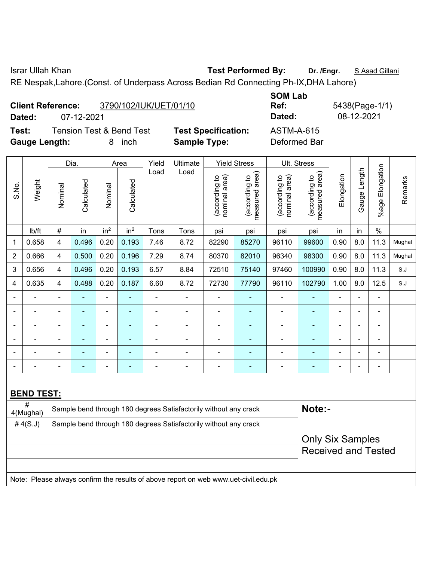Israr Ullah Khan **Test Performed By: Dr. /Engr.** S Asad Gillani

RE Nespak,Lahore.(Const. of Underpass Across Bedian Rd Connecting Ph-IX,DHA Lahore)

|                      | <b>Client Reference:</b> | 3790/102/IUK/UET/01/10              |                            | <b>SOM Lab</b><br>Ref: |
|----------------------|--------------------------|-------------------------------------|----------------------------|------------------------|
| Dated:               | 07-12-2021               |                                     |                            | Dated:                 |
| Test:                |                          | <b>Tension Test &amp; Bend Test</b> | <b>Test Specification:</b> | <b>ASTM-A-615</b>      |
| <b>Gauge Length:</b> |                          | inch<br>8                           | <b>Sample Type:</b>        | Deformed Bar           |

**SOM Lab Ref:** 5438(Page-1/1) **Dated:** 07-12-2021 **Dated:** 08-12-2021 **Test: Test Specification:** ASTM-A-615

|                |                   |                         | Dia.           |                          | Area            | Yield                                                                                                              | Ultimate                                                                            |                                | <b>Yield Stress</b>             |                                | Ult. Stress                     |                |                          |                       |         |
|----------------|-------------------|-------------------------|----------------|--------------------------|-----------------|--------------------------------------------------------------------------------------------------------------------|-------------------------------------------------------------------------------------|--------------------------------|---------------------------------|--------------------------------|---------------------------------|----------------|--------------------------|-----------------------|---------|
| S.No.          | Weight            | Nominal                 | Calculated     | Nominal                  | Calculated      | Load                                                                                                               | Load                                                                                | nominal area)<br>(according to | (according to<br>measured area) | nominal area)<br>(according to | measured area)<br>(according to | Elongation     | Gauge Length             | Elongation<br>$%$ age | Remarks |
|                | lb/ft             | $\#$                    | in             | in <sup>2</sup>          | in <sup>2</sup> | Tons                                                                                                               | Tons                                                                                | psi                            | psi                             | psi                            | psi                             | in             | in                       | $\%$                  |         |
| 1              | 0.658             | $\overline{\mathbf{4}}$ | 0.496          | 0.20                     | 0.193           | 7.46                                                                                                               | 8.72                                                                                | 82290                          | 85270                           | 96110                          | 99600                           | 0.90           | 8.0                      | 11.3                  | Mughal  |
| $\overline{2}$ | 0.666             | $\overline{\mathbf{4}}$ | 0.500          | 0.20                     | 0.196           | 7.29                                                                                                               | 8.74                                                                                | 80370                          | 82010                           | 96340                          | 98300                           | 0.90           | 8.0                      | 11.3                  | Mughal  |
| 3              | 0.656             | $\overline{4}$          | 0.496          | 0.20                     | 0.193           | 6.57                                                                                                               | 8.84                                                                                | 72510                          | 75140                           | 97460                          | 100990                          | 0.90           | 8.0                      | 11.3                  | S.J     |
| 4              | 0.635             | $\overline{\mathbf{4}}$ | 0.488          | 0.20                     | 0.187           | 6.60                                                                                                               | 8.72                                                                                | 72730                          | 77790                           | 96110                          | 102790                          | 1.00           | 8.0                      | 12.5                  | S.J     |
|                |                   |                         | ä,             | L.                       |                 | $\overline{a}$                                                                                                     | L.                                                                                  | ÷,                             |                                 | ÷,                             | ä,                              | L.             |                          | $\overline{a}$        |         |
| $\blacksquare$ | $\blacksquare$    | $\blacksquare$          | $\blacksquare$ | $\blacksquare$           | ٠               | $\blacksquare$<br>$\blacksquare$<br>$\blacksquare$<br>٠<br>$\blacksquare$<br>$\blacksquare$<br>۰<br>$\blacksquare$ |                                                                                     |                                |                                 |                                |                                 | $\blacksquare$ | $\overline{\phantom{0}}$ | $\blacksquare$        |         |
| $\blacksquare$ | $\blacksquare$    | $\blacksquare$          | $\blacksquare$ | $\blacksquare$           | $\blacksquare$  | $\blacksquare$                                                                                                     | $\blacksquare$                                                                      | ٠                              | $\blacksquare$                  | $\blacksquare$                 | $\blacksquare$                  |                |                          |                       |         |
| $\blacksquare$ | $\blacksquare$    | $\blacksquare$          | $\blacksquare$ | $\overline{\phantom{a}}$ | ä,              | $\blacksquare$                                                                                                     | ÷                                                                                   | $\blacksquare$                 | ۰                               | ÷                              | $\blacksquare$                  | ÷              | $\blacksquare$           | $\blacksquare$        |         |
| $\blacksquare$ | $\blacksquare$    | $\blacksquare$          | $\blacksquare$ | $\overline{a}$           | ÷,              | $\blacksquare$                                                                                                     | $\blacksquare$                                                                      | $\blacksquare$                 | ۰                               | ÷                              | $\blacksquare$                  | $\blacksquare$ | $\blacksquare$           | $\blacksquare$        |         |
| $\blacksquare$ | $\blacksquare$    | $\blacksquare$          | $\blacksquare$ | $\blacksquare$           | $\blacksquare$  | $\blacksquare$                                                                                                     | ä,                                                                                  | $\blacksquare$                 | ۰                               | ÷                              | $\blacksquare$                  | ä,             |                          | $\blacksquare$        |         |
|                |                   |                         |                |                          |                 |                                                                                                                    |                                                                                     |                                |                                 |                                |                                 |                |                          |                       |         |
|                | <b>BEND TEST:</b> |                         |                |                          |                 |                                                                                                                    |                                                                                     |                                |                                 |                                |                                 |                |                          |                       |         |
|                | #<br>4(Mughal)    |                         |                |                          |                 |                                                                                                                    | Sample bend through 180 degrees Satisfactorily without any crack                    |                                |                                 |                                | Note:-                          |                |                          |                       |         |
|                | # $4(S.J)$        |                         |                |                          |                 | Sample bend through 180 degrees Satisfactorily without any crack                                                   |                                                                                     |                                |                                 |                                |                                 |                |                          |                       |         |
|                |                   |                         |                |                          |                 |                                                                                                                    |                                                                                     |                                |                                 |                                | <b>Only Six Samples</b>         |                |                          |                       |         |
|                |                   |                         |                |                          |                 |                                                                                                                    |                                                                                     |                                |                                 |                                | <b>Received and Tested</b>      |                |                          |                       |         |
|                |                   |                         |                |                          |                 |                                                                                                                    |                                                                                     |                                |                                 |                                |                                 |                |                          |                       |         |
|                |                   |                         |                |                          |                 |                                                                                                                    | Note: Please always confirm the results of above report on web www.uet-civil.edu.pk |                                |                                 |                                |                                 |                |                          |                       |         |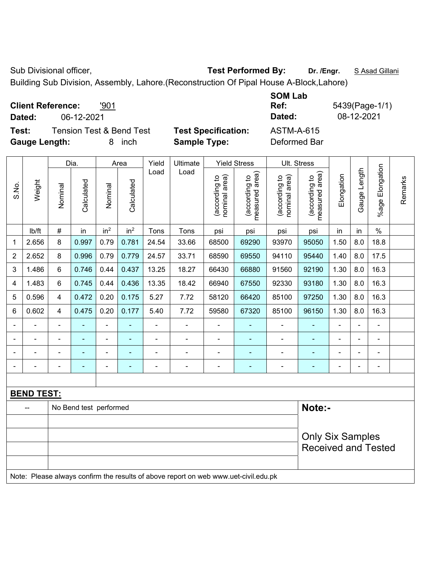Sub Divisional officer, **Test Performed By:** Dr. /Engr. **SAsad Gillani** Sub Divisional officer,

Building Sub Division, Assembly, Lahore.(Reconstruction Of Pipal House A-Block,Lahore)

| <b>Client Reference:</b><br>'901<br>06-12-2021<br>Dated: |                            | <b>SOM Lab</b><br>Ref:<br>Dated: | 5439(Page-1/1)<br>08-12-2021 |
|----------------------------------------------------------|----------------------------|----------------------------------|------------------------------|
| <b>Tension Test &amp; Bend Test</b><br>Test:             | <b>Test Specification:</b> | ASTM-A-615                       |                              |
| <b>Gauge Length:</b><br>inch<br>8                        | <b>Sample Type:</b>        | Deformed Bar                     |                              |

|                |                   |         | Dia.                   |                 | Area            | Yield | Ultimate                                                                            |                                | <b>Yield Stress</b>             |                                | Ult. Stress                     |            |              |                 |         |
|----------------|-------------------|---------|------------------------|-----------------|-----------------|-------|-------------------------------------------------------------------------------------|--------------------------------|---------------------------------|--------------------------------|---------------------------------|------------|--------------|-----------------|---------|
| S.No.          | Weight            | Nominal | Calculated             | Nominal         | Calculated      | Load  | Load                                                                                | nominal area)<br>(according to | measured area)<br>(according to | nominal area)<br>(according to | measured area)<br>(according to | Elongation | Gauge Length | %age Elongation | Remarks |
|                | Ib/ft             | $\#$    | in                     | in <sup>2</sup> | in <sup>2</sup> | Tons  | Tons                                                                                | psi                            | psi                             | psi                            | psi                             | in         | in           | $\frac{0}{0}$   |         |
| 1              | 2.656             | 8       | 0.997                  | 0.79            | 0.781           | 24.54 | 33.66                                                                               | 68500                          | 69290                           | 93970                          | 95050                           | 1.50       | 8.0          | 18.8            |         |
| $\overline{2}$ | 2.652             | 8       | 0.996                  | 0.79            | 0.779           | 24.57 | 33.71                                                                               | 68590                          | 69550                           | 94110                          | 95440                           | 1.40       | 8.0          | 17.5            |         |
| 3              | 1.486             | 6       | 0.746                  | 0.44            | 0.437           | 13.25 | 18.27                                                                               | 66430                          | 66880                           | 91560                          | 92190                           | 1.30       | 8.0          | 16.3            |         |
| 4              | 1.483             | 6       | 0.745                  | 0.44            | 0.436           | 13.35 | 18.42                                                                               | 66940                          | 67550                           | 92330                          | 93180                           | 1.30       | 8.0          | 16.3            |         |
| 5              | 0.596             | 4       | 0.472                  | 0.20            | 0.175           | 5.27  | 7.72                                                                                | 58120                          | 66420                           | 85100                          | 97250                           | 1.30       | 8.0          | 16.3            |         |
| 6              | 0.602             | 4       | 0.475                  | 0.20            | 0.177           | 5.40  | 7.72                                                                                | 59580                          | 67320                           | 85100                          | 96150                           | 1.30       | 8.0          | 16.3            |         |
|                |                   |         |                        |                 |                 |       |                                                                                     |                                |                                 |                                |                                 |            |              |                 |         |
|                |                   |         |                        |                 |                 |       |                                                                                     |                                |                                 |                                |                                 |            |              |                 |         |
|                |                   |         |                        |                 |                 |       |                                                                                     |                                |                                 |                                |                                 |            |              |                 |         |
| $\blacksquare$ |                   |         | ÷                      | $\blacksquare$  |                 | ÷,    | ÷,                                                                                  | $\blacksquare$                 | $\blacksquare$                  | ÷                              | ÷                               | ÷          |              | $\blacksquare$  |         |
|                |                   |         |                        |                 |                 |       |                                                                                     |                                |                                 |                                |                                 |            |              |                 |         |
|                | <b>BEND TEST:</b> |         |                        |                 |                 |       |                                                                                     |                                |                                 |                                |                                 |            |              |                 |         |
|                | -−                |         | No Bend test performed |                 |                 |       |                                                                                     |                                |                                 |                                | Note:-                          |            |              |                 |         |
|                |                   |         |                        |                 |                 |       |                                                                                     |                                |                                 |                                |                                 |            |              |                 |         |
|                |                   |         |                        |                 |                 |       |                                                                                     |                                |                                 |                                | <b>Only Six Samples</b>         |            |              |                 |         |
|                |                   |         |                        |                 |                 |       |                                                                                     |                                |                                 |                                | <b>Received and Tested</b>      |            |              |                 |         |
|                |                   |         |                        |                 |                 |       |                                                                                     |                                |                                 |                                |                                 |            |              |                 |         |
|                |                   |         |                        |                 |                 |       | Note: Please always confirm the results of above report on web www.uet-civil.edu.pk |                                |                                 |                                |                                 |            |              |                 |         |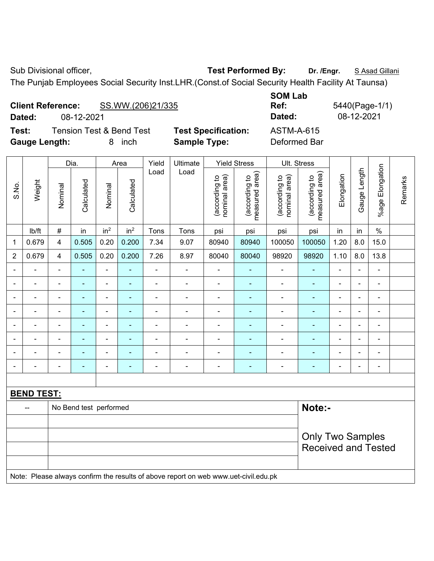**Client Reference:** SS.WW.(206)21/335

Sub Divisional officer, **Test Performed By:** Dr. /Engr. **SAsad Gillani** Sub Divisional officer,

The Punjab Employees Social Security Inst.LHR.(Const.of Social Security Health Facility At Taunsa)

|                | Test:<br><b>Gauge Length:</b><br>Dia. |                                                                                     | <b>Tension Test &amp; Bend Test</b><br>8 inch |                 | <b>Sample Type:</b> | <b>Test Specification:</b> |                          | <b>ASTM-A-615</b><br>Deformed Bar |                                 |                                |                                                       |                          |                |                          |         |
|----------------|---------------------------------------|-------------------------------------------------------------------------------------|-----------------------------------------------|-----------------|---------------------|----------------------------|--------------------------|-----------------------------------|---------------------------------|--------------------------------|-------------------------------------------------------|--------------------------|----------------|--------------------------|---------|
|                |                                       |                                                                                     |                                               |                 | Area                | Yield                      | Ultimate                 |                                   | <b>Yield Stress</b>             |                                | Ult. Stress                                           |                          |                |                          |         |
| S.No.          | Weight                                | Nominal                                                                             | Calculated                                    | Nominal         | Calculated          | Load                       | Load                     | (according to<br>nominal area)    | (according to<br>measured area) | (according to<br>nominal area) | (according to<br>measured area)                       | Elongation               | Gauge Length   | %age Elongation          | Remarks |
|                | Ib/ft                                 | $\#$                                                                                | in                                            | in <sup>2</sup> | in <sup>2</sup>     | Tons                       | Tons                     | psi                               | psi                             | psi                            | psi                                                   | in                       | in             | $\%$                     |         |
| $\mathbf{1}$   | 0.679                                 | 4                                                                                   | 0.505                                         | 0.20            | 0.200               | 7.34                       | 9.07                     | 80940                             | 80940                           | 100050                         | 100050                                                | 1.20                     | 8.0            | 15.0                     |         |
| $\overline{2}$ | 0.679                                 | $\overline{4}$                                                                      | 0.505                                         | 0.20            | 0.200               | 7.26                       | 8.97                     | 80040                             | 80040                           | 98920                          | 98920                                                 | 1.10                     | 8.0            | 13.8                     |         |
| $\blacksquare$ |                                       | $\blacksquare$                                                                      | ÷,                                            | $\frac{1}{2}$   | ÷,                  | $\overline{a}$             | $\blacksquare$           | $\blacksquare$                    | ä,                              | $\blacksquare$                 | L,                                                    | $\blacksquare$           | ä,             | ä,                       |         |
|                | $\blacksquare$                        | $\blacksquare$                                                                      | ä,                                            | $\blacksquare$  | $\blacksquare$      | $\overline{a}$             | $\overline{\phantom{0}}$ | $\overline{\phantom{0}}$          | ä,                              | $\blacksquare$                 | ÷,                                                    | $\overline{\phantom{0}}$ | $\blacksquare$ | ä,                       |         |
|                | ÷                                     | $\blacksquare$                                                                      | $\blacksquare$                                | $\blacksquare$  | $\blacksquare$      | ÷                          | $\frac{1}{2}$            | $\blacksquare$                    | ٠                               | $\blacksquare$                 | ÷,                                                    | L,                       | ÷,             | ÷,                       |         |
|                | $\overline{a}$                        | $\blacksquare$                                                                      | $\blacksquare$                                | $\frac{1}{2}$   | $\blacksquare$      | ÷,                         | $\blacksquare$           | $\blacksquare$                    | $\blacksquare$                  | $\blacksquare$                 | ÷                                                     | ä,                       | ä,             | ÷,                       |         |
|                | $\blacksquare$                        | $\blacksquare$                                                                      | ä,                                            | ÷               | ÷                   | $\blacksquare$             | ÷                        | $\qquad \qquad \blacksquare$      | $\blacksquare$                  | $\blacksquare$                 | $\blacksquare$                                        | $\blacksquare$           | $\blacksquare$ | $\overline{\phantom{a}}$ |         |
|                | $\overline{\phantom{a}}$              | $\blacksquare$                                                                      | $\blacksquare$                                | ÷,              | ٠                   | ä,                         | ÷.                       | ä,                                | ä,                              | $\blacksquare$                 | ä,                                                    | ä,                       | $\blacksquare$ | $\blacksquare$           |         |
|                |                                       |                                                                                     |                                               | ä,              |                     |                            | ÷                        | ä,                                | ä,                              | $\blacksquare$                 | ä,                                                    |                          |                | ÷,                       |         |
|                |                                       | $\blacksquare$                                                                      |                                               | $\blacksquare$  |                     |                            | $\blacksquare$           | $\blacksquare$                    | $\blacksquare$                  | $\blacksquare$                 | ä,                                                    | $\blacksquare$           |                | $\blacksquare$           |         |
|                | <b>BEND TEST:</b>                     |                                                                                     |                                               |                 |                     |                            |                          |                                   |                                 |                                |                                                       |                          |                |                          |         |
|                | $\overline{\phantom{a}}$              | Note:-<br>No Bend test performed                                                    |                                               |                 |                     |                            |                          |                                   |                                 |                                |                                                       |                          |                |                          |         |
|                |                                       | Note: Please always confirm the results of above report on web www.uet-civil.edu.pk |                                               |                 |                     |                            |                          |                                   |                                 |                                | <b>Only Two Samples</b><br><b>Received and Tested</b> |                          |                |                          |         |
|                |                                       |                                                                                     |                                               |                 |                     |                            |                          |                                   |                                 |                                |                                                       |                          |                |                          |         |

**SOM Lab Ref:** 5440(Page-1/1) **Dated:** 08-12-2021 **Dated:** 08-12-2021